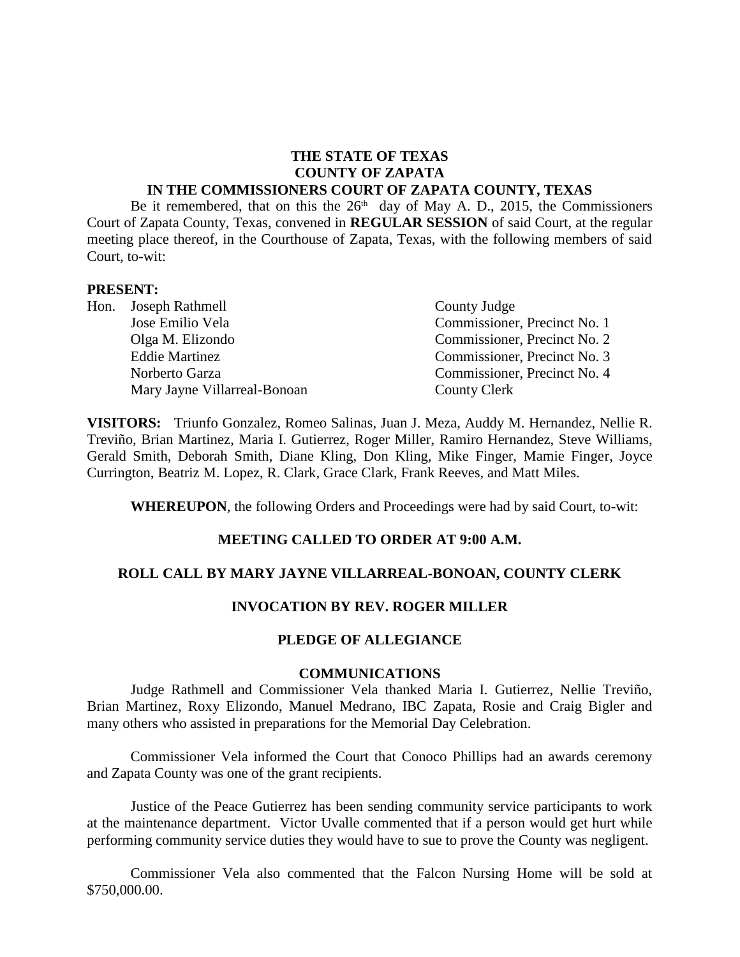#### **THE STATE OF TEXAS COUNTY OF ZAPATA IN THE COMMISSIONERS COURT OF ZAPATA COUNTY, TEXAS**

Be it remembered, that on this the  $26<sup>th</sup>$  day of May A. D., 2015, the Commissioners Court of Zapata County, Texas, convened in **REGULAR SESSION** of said Court, at the regular meeting place thereof, in the Courthouse of Zapata, Texas, with the following members of said Court, to-wit:

#### **PRESENT:**

| Hon. Joseph Rathmell         | County Judge                 |
|------------------------------|------------------------------|
| Jose Emilio Vela             | Commissioner, Precinct No. 1 |
| Olga M. Elizondo             | Commissioner, Precinct No. 2 |
| <b>Eddie Martinez</b>        | Commissioner, Precinct No. 3 |
| Norberto Garza               | Commissioner, Precinct No. 4 |
| Mary Jayne Villarreal-Bonoan | <b>County Clerk</b>          |

**VISITORS:** Triunfo Gonzalez, Romeo Salinas, Juan J. Meza, Auddy M. Hernandez, Nellie R. Treviño, Brian Martinez, Maria I. Gutierrez, Roger Miller, Ramiro Hernandez, Steve Williams, Gerald Smith, Deborah Smith, Diane Kling, Don Kling, Mike Finger, Mamie Finger, Joyce Currington, Beatriz M. Lopez, R. Clark, Grace Clark, Frank Reeves, and Matt Miles.

**WHEREUPON**, the following Orders and Proceedings were had by said Court, to-wit:

#### **MEETING CALLED TO ORDER AT 9:00 A.M.**

#### **ROLL CALL BY MARY JAYNE VILLARREAL-BONOAN, COUNTY CLERK**

### **INVOCATION BY REV. ROGER MILLER**

#### **PLEDGE OF ALLEGIANCE**

#### **COMMUNICATIONS**

Judge Rathmell and Commissioner Vela thanked Maria I. Gutierrez, Nellie Treviño, Brian Martinez, Roxy Elizondo, Manuel Medrano, IBC Zapata, Rosie and Craig Bigler and many others who assisted in preparations for the Memorial Day Celebration.

Commissioner Vela informed the Court that Conoco Phillips had an awards ceremony and Zapata County was one of the grant recipients.

Justice of the Peace Gutierrez has been sending community service participants to work at the maintenance department. Victor Uvalle commented that if a person would get hurt while performing community service duties they would have to sue to prove the County was negligent.

Commissioner Vela also commented that the Falcon Nursing Home will be sold at \$750,000.00.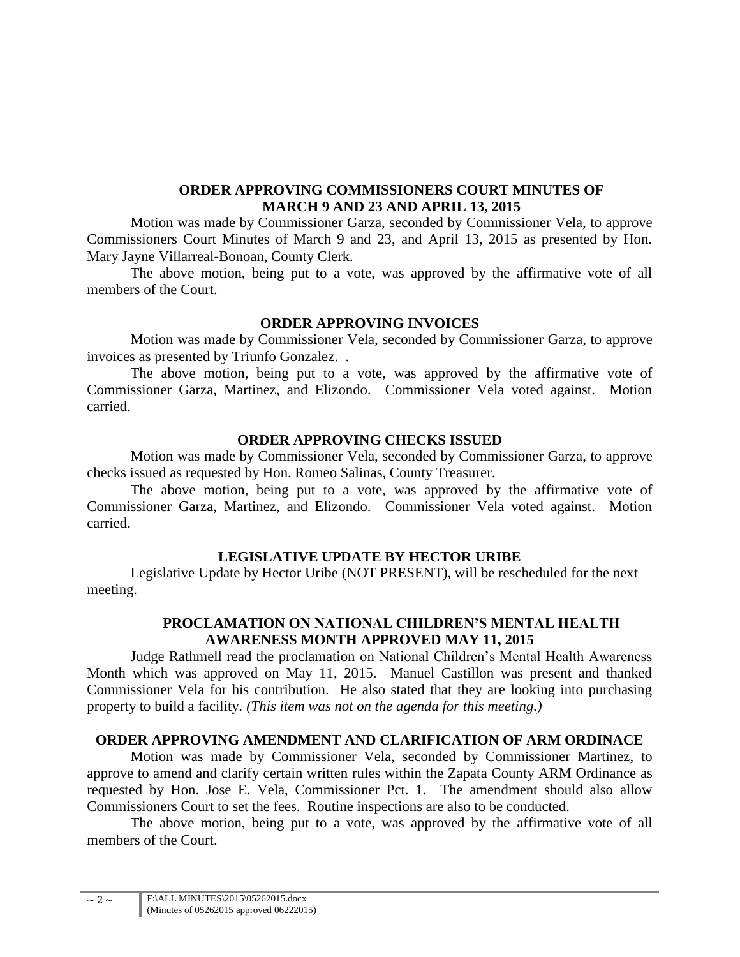### **ORDER APPROVING COMMISSIONERS COURT MINUTES OF MARCH 9 AND 23 AND APRIL 13, 2015**

Motion was made by Commissioner Garza, seconded by Commissioner Vela, to approve Commissioners Court Minutes of March 9 and 23, and April 13, 2015 as presented by Hon. Mary Jayne Villarreal-Bonoan, County Clerk.

The above motion, being put to a vote, was approved by the affirmative vote of all members of the Court.

### **ORDER APPROVING INVOICES**

Motion was made by Commissioner Vela, seconded by Commissioner Garza, to approve invoices as presented by Triunfo Gonzalez. .

The above motion, being put to a vote, was approved by the affirmative vote of Commissioner Garza, Martinez, and Elizondo. Commissioner Vela voted against. Motion carried.

### **ORDER APPROVING CHECKS ISSUED**

Motion was made by Commissioner Vela, seconded by Commissioner Garza, to approve checks issued as requested by Hon. Romeo Salinas, County Treasurer.

The above motion, being put to a vote, was approved by the affirmative vote of Commissioner Garza, Martinez, and Elizondo. Commissioner Vela voted against. Motion carried.

#### **LEGISLATIVE UPDATE BY HECTOR URIBE**

Legislative Update by Hector Uribe (NOT PRESENT), will be rescheduled for the next meeting.

# **PROCLAMATION ON NATIONAL CHILDREN'S MENTAL HEALTH AWARENESS MONTH APPROVED MAY 11, 2015**

Judge Rathmell read the proclamation on National Children's Mental Health Awareness Month which was approved on May 11, 2015. Manuel Castillon was present and thanked Commissioner Vela for his contribution. He also stated that they are looking into purchasing property to build a facility. *(This item was not on the agenda for this meeting.)*

### **ORDER APPROVING AMENDMENT AND CLARIFICATION OF ARM ORDINACE**

Motion was made by Commissioner Vela, seconded by Commissioner Martinez, to approve to amend and clarify certain written rules within the Zapata County ARM Ordinance as requested by Hon. Jose E. Vela, Commissioner Pct. 1. The amendment should also allow Commissioners Court to set the fees. Routine inspections are also to be conducted.

The above motion, being put to a vote, was approved by the affirmative vote of all members of the Court.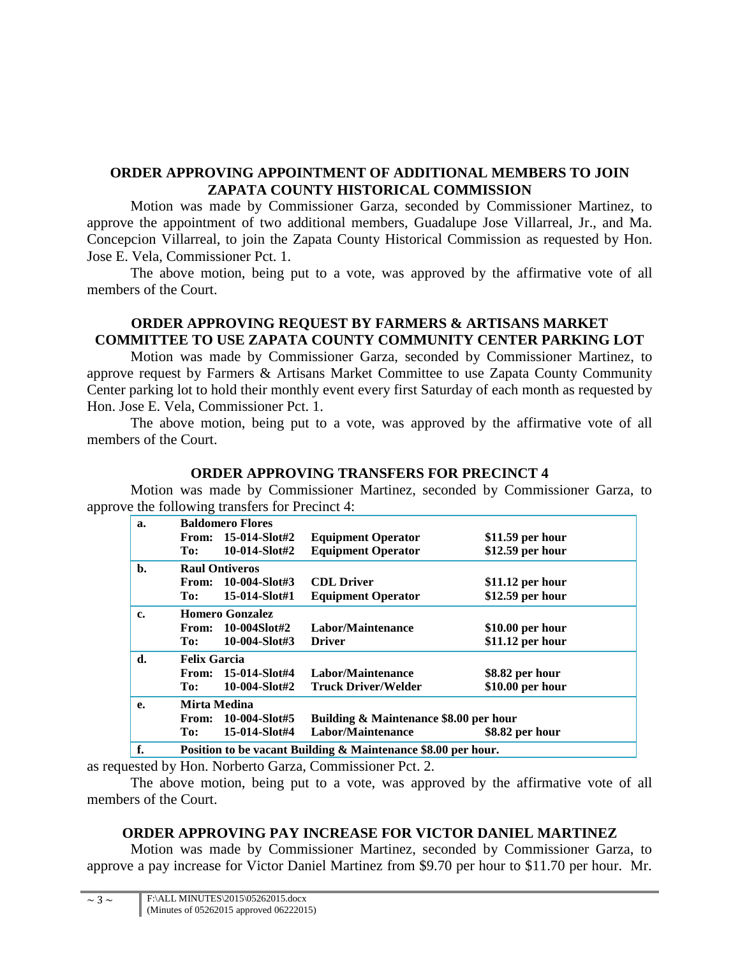# **ORDER APPROVING APPOINTMENT OF ADDITIONAL MEMBERS TO JOIN ZAPATA COUNTY HISTORICAL COMMISSION**

Motion was made by Commissioner Garza, seconded by Commissioner Martinez, to approve the appointment of two additional members, Guadalupe Jose Villarreal, Jr., and Ma. Concepcion Villarreal, to join the Zapata County Historical Commission as requested by Hon. Jose E. Vela, Commissioner Pct. 1.

The above motion, being put to a vote, was approved by the affirmative vote of all members of the Court.

# **ORDER APPROVING REQUEST BY FARMERS & ARTISANS MARKET COMMITTEE TO USE ZAPATA COUNTY COMMUNITY CENTER PARKING LOT**

Motion was made by Commissioner Garza, seconded by Commissioner Martinez, to approve request by Farmers & Artisans Market Committee to use Zapata County Community Center parking lot to hold their monthly event every first Saturday of each month as requested by Hon. Jose E. Vela, Commissioner Pct. 1.

The above motion, being put to a vote, was approved by the affirmative vote of all members of the Court.

### **ORDER APPROVING TRANSFERS FOR PRECINCT 4**

Motion was made by Commissioner Martinez, seconded by Commissioner Garza, to approve the following transfers for Precinct 4:

| a.             |                                                                         | <b>Baldomero Flores</b> |                            |                   |  |
|----------------|-------------------------------------------------------------------------|-------------------------|----------------------------|-------------------|--|
|                | From:                                                                   | 15-014-Slot#2           | <b>Equipment Operator</b>  | $$11.59$ per hour |  |
|                | To:                                                                     | $10-014-Slott#2$        | <b>Equipment Operator</b>  | \$12.59 per hour  |  |
| $\mathbf{b}$ . | <b>Raul Ontiveros</b>                                                   |                         |                            |                   |  |
|                | From:                                                                   | 10-004-Slot#3           | <b>CDL</b> Driver          | $$11.12$ per hour |  |
|                | To:                                                                     | 15-014-Slot#1           | <b>Equipment Operator</b>  | \$12.59 per hour  |  |
| c.             | <b>Homero Gonzalez</b>                                                  |                         |                            |                   |  |
|                | From:                                                                   | 10-004Slot#2            | Labor/Maintenance          | $$10.00$ per hour |  |
|                | To:                                                                     | $10-004-Slott#3$        | <b>Driver</b>              | \$11.12 per hour  |  |
| d.             | <b>Felix Garcia</b>                                                     |                         |                            |                   |  |
|                | From:                                                                   | 15-014-Slot#4           | Labor/Maintenance          | \$8.82 per hour   |  |
|                | To:                                                                     | 10-004-Slot#2           | <b>Truck Driver/Welder</b> | \$10.00 per hour  |  |
| е.             | Mirta Medina                                                            |                         |                            |                   |  |
|                | Building & Maintenance \$8.00 per hour<br>10-004-Slot#5<br><b>From:</b> |                         |                            |                   |  |
|                | To:                                                                     | 15-014-Slot#4           | Labor/Maintenance          | \$8.82 per hour   |  |
| f.             | Position to be vacant Building & Maintenance \$8.00 per hour.           |                         |                            |                   |  |

as requested by Hon. Norberto Garza, Commissioner Pct. 2.

The above motion, being put to a vote, was approved by the affirmative vote of all members of the Court.

# **ORDER APPROVING PAY INCREASE FOR VICTOR DANIEL MARTINEZ**

Motion was made by Commissioner Martinez, seconded by Commissioner Garza, to approve a pay increase for Victor Daniel Martinez from \$9.70 per hour to \$11.70 per hour. Mr.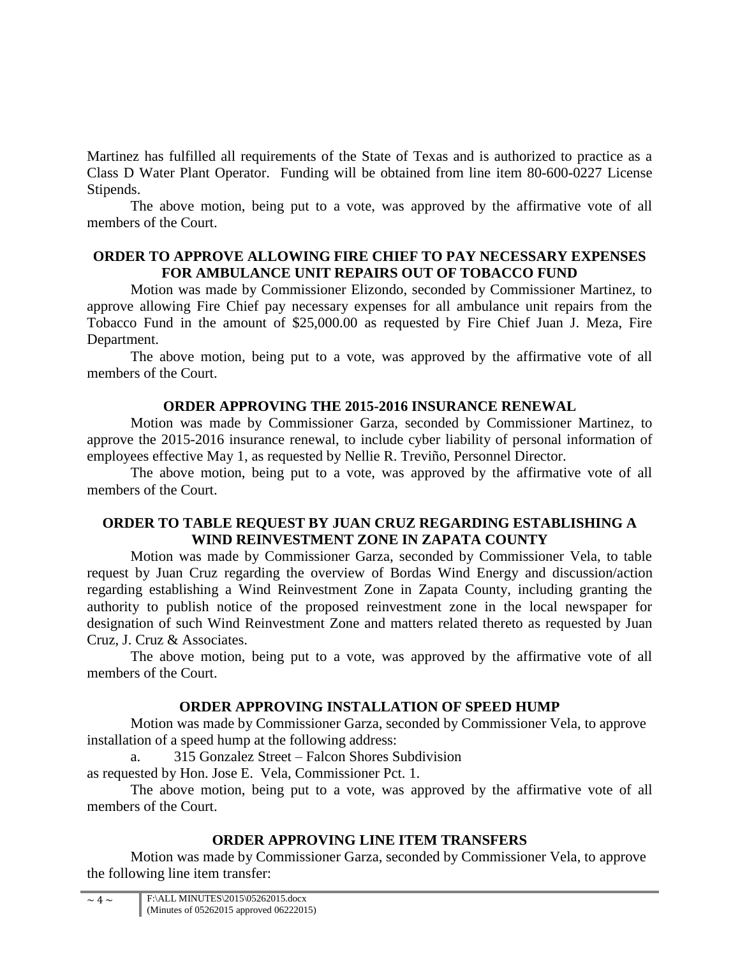Martinez has fulfilled all requirements of the State of Texas and is authorized to practice as a Class D Water Plant Operator. Funding will be obtained from line item 80-600-0227 License Stipends.

The above motion, being put to a vote, was approved by the affirmative vote of all members of the Court.

# **ORDER TO APPROVE ALLOWING FIRE CHIEF TO PAY NECESSARY EXPENSES FOR AMBULANCE UNIT REPAIRS OUT OF TOBACCO FUND**

Motion was made by Commissioner Elizondo, seconded by Commissioner Martinez, to approve allowing Fire Chief pay necessary expenses for all ambulance unit repairs from the Tobacco Fund in the amount of \$25,000.00 as requested by Fire Chief Juan J. Meza, Fire Department.

The above motion, being put to a vote, was approved by the affirmative vote of all members of the Court.

### **ORDER APPROVING THE 2015-2016 INSURANCE RENEWAL**

Motion was made by Commissioner Garza, seconded by Commissioner Martinez, to approve the 2015-2016 insurance renewal, to include cyber liability of personal information of employees effective May 1, as requested by Nellie R. Treviño, Personnel Director.

The above motion, being put to a vote, was approved by the affirmative vote of all members of the Court.

### **ORDER TO TABLE REQUEST BY JUAN CRUZ REGARDING ESTABLISHING A WIND REINVESTMENT ZONE IN ZAPATA COUNTY**

Motion was made by Commissioner Garza, seconded by Commissioner Vela, to table request by Juan Cruz regarding the overview of Bordas Wind Energy and discussion/action regarding establishing a Wind Reinvestment Zone in Zapata County, including granting the authority to publish notice of the proposed reinvestment zone in the local newspaper for designation of such Wind Reinvestment Zone and matters related thereto as requested by Juan Cruz, J. Cruz & Associates.

The above motion, being put to a vote, was approved by the affirmative vote of all members of the Court.

### **ORDER APPROVING INSTALLATION OF SPEED HUMP**

Motion was made by Commissioner Garza, seconded by Commissioner Vela, to approve installation of a speed hump at the following address:

315 Gonzalez Street – Falcon Shores Subdivision

as requested by Hon. Jose E. Vela, Commissioner Pct. 1.

The above motion, being put to a vote, was approved by the affirmative vote of all members of the Court.

# **ORDER APPROVING LINE ITEM TRANSFERS**

Motion was made by Commissioner Garza, seconded by Commissioner Vela, to approve the following line item transfer: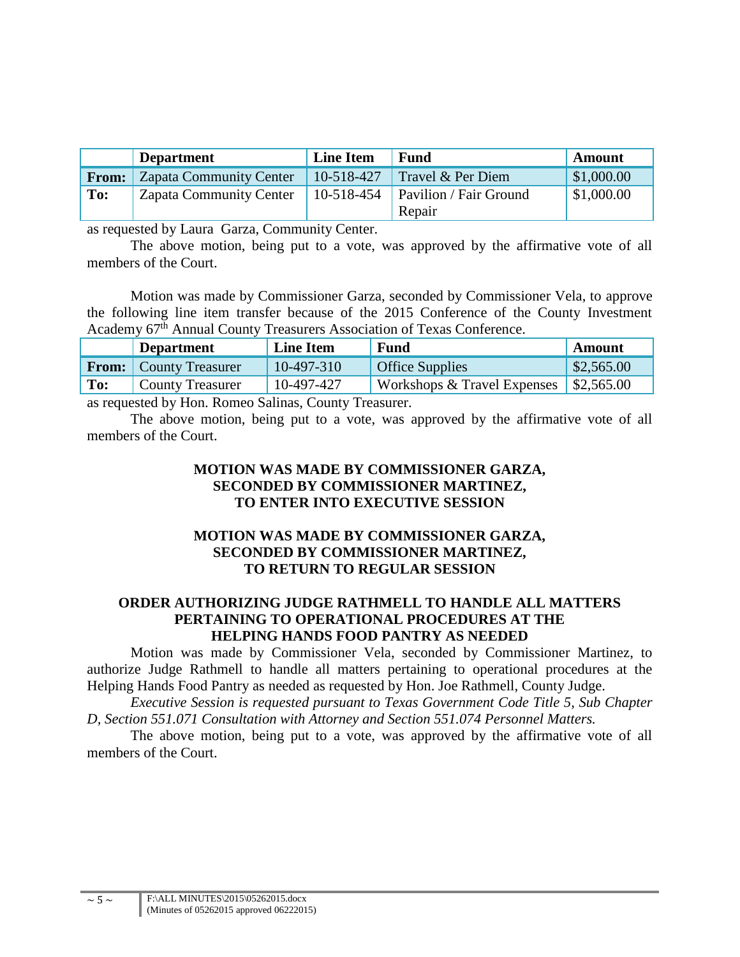|              | <b>Department</b>              | <b>Line Item</b> | <b>Fund</b>                             | Amount     |
|--------------|--------------------------------|------------------|-----------------------------------------|------------|
| <b>From:</b> | <b>Zapata Community Center</b> | 10-518-427       | Travel & Per Diem                       | \$1,000.00 |
| To:          | <b>Zapata Community Center</b> | 10-518-454       | <b>Pavilion</b> / Fair Ground<br>Repair | \$1,000.00 |

as requested by Laura Garza, Community Center.

The above motion, being put to a vote, was approved by the affirmative vote of all members of the Court.

Motion was made by Commissioner Garza, seconded by Commissioner Vela, to approve the following line item transfer because of the 2015 Conference of the County Investment Academy 67<sup>th</sup> Annual County Treasurers Association of Texas Conference.

|     | <b>Department</b>             | <b>Line Item</b> | <b>Fund</b>                                | Amount                |
|-----|-------------------------------|------------------|--------------------------------------------|-----------------------|
|     | <b>From:</b> County Treasurer | $10-497-310$     | <b>Office Supplies</b>                     | $\frac{$2,565.00}{ }$ |
| To: | <b>County Treasurer</b>       | 10-497-427       | Workshops $&$ Travel Expenses   \$2,565.00 |                       |
|     |                               |                  |                                            |                       |

as requested by Hon. Romeo Salinas, County Treasurer.

The above motion, being put to a vote, was approved by the affirmative vote of all members of the Court.

# **MOTION WAS MADE BY COMMISSIONER GARZA, SECONDED BY COMMISSIONER MARTINEZ, TO ENTER INTO EXECUTIVE SESSION**

# **MOTION WAS MADE BY COMMISSIONER GARZA, SECONDED BY COMMISSIONER MARTINEZ, TO RETURN TO REGULAR SESSION**

# **ORDER AUTHORIZING JUDGE RATHMELL TO HANDLE ALL MATTERS PERTAINING TO OPERATIONAL PROCEDURES AT THE HELPING HANDS FOOD PANTRY AS NEEDED**

Motion was made by Commissioner Vela, seconded by Commissioner Martinez, to authorize Judge Rathmell to handle all matters pertaining to operational procedures at the Helping Hands Food Pantry as needed as requested by Hon. Joe Rathmell, County Judge.

*Executive Session is requested pursuant to Texas Government Code Title 5, Sub Chapter D, Section 551.071 Consultation with Attorney and Section 551.074 Personnel Matters.*

The above motion, being put to a vote, was approved by the affirmative vote of all members of the Court.